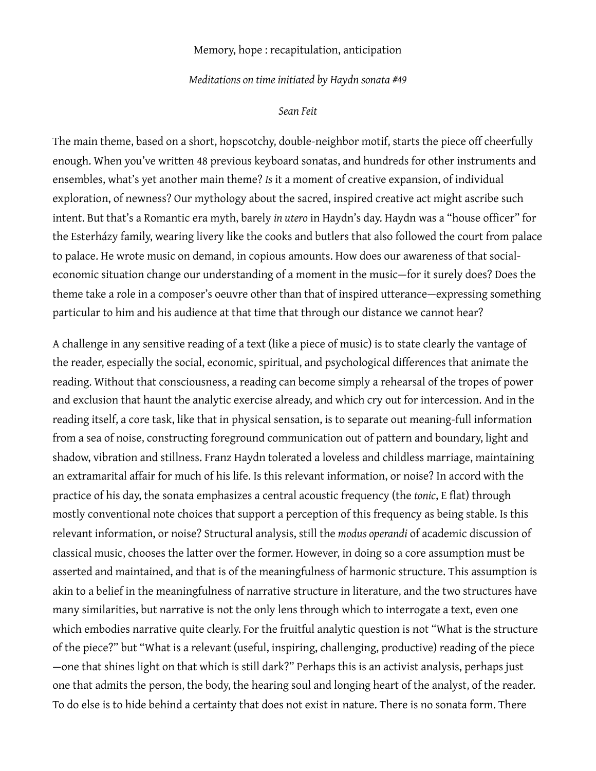## Memory, hope : recapitulation, anticipation

### *Meditations on time initiated by Haydn sonata #49*

#### *Sean Feit*

The main theme, based on a short, hopscotchy, double-neighbor motif, starts the piece off cheerfully enough. When you've written 48 previous keyboard sonatas, and hundreds for other instruments and ensembles, what's yet another main theme? *Is* it a moment of creative expansion, of individual exploration, of newness? Our mythology about the sacred, inspired creative act might ascribe such intent. But that's a Romantic era myth, barely *in utero* in Haydn's day. Haydn was a "house officer" for the Esterházy family, wearing livery like the cooks and butlers that also followed the court from palace to palace. He wrote music on demand, in copious amounts. How does our awareness of that socialeconomic situation change our understanding of a moment in the music—for it surely does? Does the theme take a role in a composer's oeuvre other than that of inspired utterance—expressing something particular to him and his audience at that time that through our distance we cannot hear?

A challenge in any sensitive reading of a text (like a piece of music) is to state clearly the vantage of the reader, especially the social, economic, spiritual, and psychological differences that animate the reading. Without that consciousness, a reading can become simply a rehearsal of the tropes of power and exclusion that haunt the analytic exercise already, and which cry out for intercession. And in the reading itself, a core task, like that in physical sensation, is to separate out meaning-full information from a sea of noise, constructing foreground communication out of pattern and boundary, light and shadow, vibration and stillness. Franz Haydn tolerated a loveless and childless marriage, maintaining an extramarital affair for much of his life. Is this relevant information, or noise? In accord with the practice of his day, the sonata emphasizes a central acoustic frequency (the *tonic*, E flat) through mostly conventional note choices that support a perception of this frequency as being stable. Is this relevant information, or noise? Structural analysis, still the *modus operandi* of academic discussion of classical music, chooses the latter over the former. However, in doing so a core assumption must be asserted and maintained, and that is of the meaningfulness of harmonic structure. This assumption is akin to a belief in the meaningfulness of narrative structure in literature, and the two structures have many similarities, but narrative is not the only lens through which to interrogate a text, even one which embodies narrative quite clearly. For the fruitful analytic question is not "What is the structure of the piece?" but "What is a relevant (useful, inspiring, challenging, productive) reading of the piece —one that shines light on that which is still dark?" Perhaps this is an activist analysis, perhaps just one that admits the person, the body, the hearing soul and longing heart of the analyst, of the reader. To do else is to hide behind a certainty that does not exist in nature. There is no sonata form. There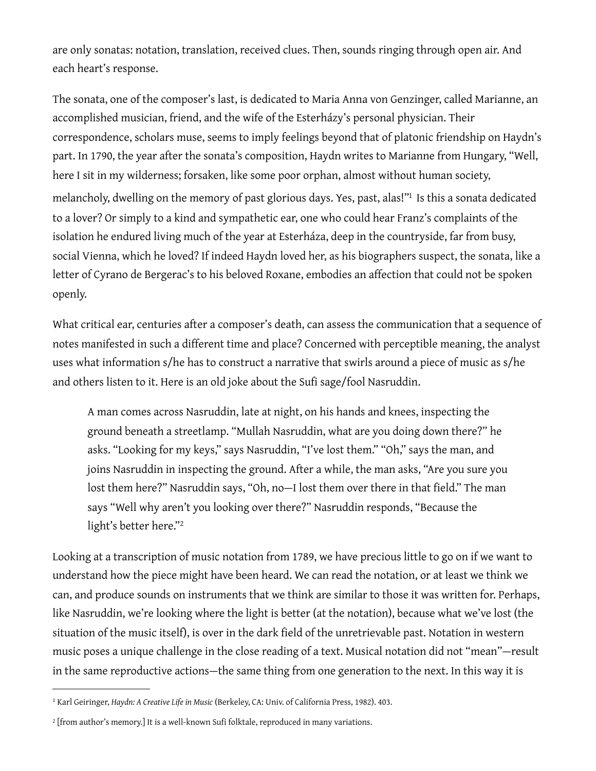are only sonatas: notation, translation, received clues. Then, sounds ringing through open air. And each heart's response.

The sonata, one of the composer's last, is dedicated to Maria Anna von Genzinger, called Marianne, an accomplished musician, friend, and the wife of the Esterházy's personal physician. Their correspondence, scholars muse, seems to imply feelings beyond that of platonic friendship on Haydn's part. In 1790, the year after the sonata's composition, Haydn writes to Marianne from Hungary, "Well, here I sit in my wilderness; forsaken, like some poor orphan, almost without human society, melancholy, dwelling on the memory of past glorious days. Yes, past, alas!["1](#page-1-0) Is this a sonata dedicated to a lover? Or simply to a kind and sympathetic ear, one who could hear Franz's complaints of the isolation he endured living much of the year at Esterháza, deep in the countryside, far from busy, social Vienna, which he loved? If indeed Haydn loved her, as his biographers suspect, the sonata, like a letter of Cyrano de Bergerac's to his beloved Roxane, embodies an affection that could not be spoken openly.

What critical ear, centuries after a composer's death, can assess the communication that a sequence of notes manifested in such a different time and place? Concerned with perceptible meaning, the analyst uses what information s/he has to construct a narrative that swirls around a piece of music as s/he and others listen to it. Here is an old joke about the Sufi sage/fool Nasruddin.

A man comes across Nasruddin, late at night, on his hands and knees, inspecting the ground beneath a streetlamp. "Mullah Nasruddin, what are you doing down there?" he asks. "Looking for my keys," says Nasruddin, "I've lost them." "Oh," says the man, and joins Nasruddin in inspecting the ground. After a while, the man asks, "Are you sure you lost them here?" Nasruddin says, "Oh, no—I lost them over there in that field." The man says "Well why aren't you looking over there?" Nasruddin responds, "Because the light's better here."[2](#page-1-1)

Looking at a transcription of music notation from 1789, we have precious little to go on if we want to understand how the piece might have been heard. We can read the notation, or at least we think we can, and produce sounds on instruments that we think are similar to those it was written for. Perhaps, like Nasruddin, we're looking where the light is better (at the notation), because what we've lost (the situation of the music itself), is over in the dark field of the unretrievable past. Notation in western music poses a unique challenge in the close reading of a text. Musical notation did not "mean"—result in the same reproductive actions—the same thing from one generation to the next. In this way it is

<span id="page-1-0"></span><sup>1</sup> Karl Geiringer, *Haydn: A Creative Life in Music* (Berkeley, CA: Univ. of California Press, 1982). 403.

<span id="page-1-1"></span><sup>&</sup>lt;sup>2</sup> [from author's memory.] It is a well-known Sufi folktale, reproduced in many variations.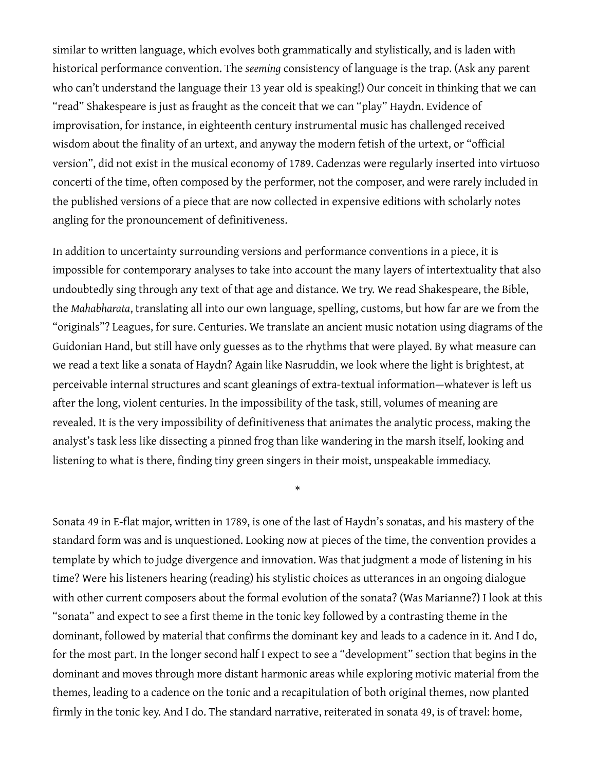similar to written language, which evolves both grammatically and stylistically, and is laden with historical performance convention. The *seeming* consistency of language is the trap. (Ask any parent who can't understand the language their 13 year old is speaking!) Our conceit in thinking that we can "read" Shakespeare is just as fraught as the conceit that we can "play" Haydn. Evidence of improvisation, for instance, in eighteenth century instrumental music has challenged received wisdom about the finality of an urtext, and anyway the modern fetish of the urtext, or "official version", did not exist in the musical economy of 1789. Cadenzas were regularly inserted into virtuoso concerti of the time, often composed by the performer, not the composer, and were rarely included in the published versions of a piece that are now collected in expensive editions with scholarly notes angling for the pronouncement of definitiveness.

In addition to uncertainty surrounding versions and performance conventions in a piece, it is impossible for contemporary analyses to take into account the many layers of intertextuality that also undoubtedly sing through any text of that age and distance. We try. We read Shakespeare, the Bible, the *Mahabharata*, translating all into our own language, spelling, customs, but how far are we from the "originals"? Leagues, for sure. Centuries. We translate an ancient music notation using diagrams of the Guidonian Hand, but still have only guesses as to the rhythms that were played. By what measure can we read a text like a sonata of Haydn? Again like Nasruddin, we look where the light is brightest, at perceivable internal structures and scant gleanings of extra-textual information—whatever is left us after the long, violent centuries. In the impossibility of the task, still, volumes of meaning are revealed. It is the very impossibility of definitiveness that animates the analytic process, making the analyst's task less like dissecting a pinned frog than like wandering in the marsh itself, looking and listening to what is there, finding tiny green singers in their moist, unspeakable immediacy.

\*

Sonata 49 in E-flat major, written in 1789, is one of the last of Haydn's sonatas, and his mastery of the standard form was and is unquestioned. Looking now at pieces of the time, the convention provides a template by which to judge divergence and innovation. Was that judgment a mode of listening in his time? Were his listeners hearing (reading) his stylistic choices as utterances in an ongoing dialogue with other current composers about the formal evolution of the sonata? (Was Marianne?) I look at this "sonata" and expect to see a first theme in the tonic key followed by a contrasting theme in the dominant, followed by material that confirms the dominant key and leads to a cadence in it. And I do, for the most part. In the longer second half I expect to see a "development" section that begins in the dominant and moves through more distant harmonic areas while exploring motivic material from the themes, leading to a cadence on the tonic and a recapitulation of both original themes, now planted firmly in the tonic key. And I do. The standard narrative, reiterated in sonata 49, is of travel: home,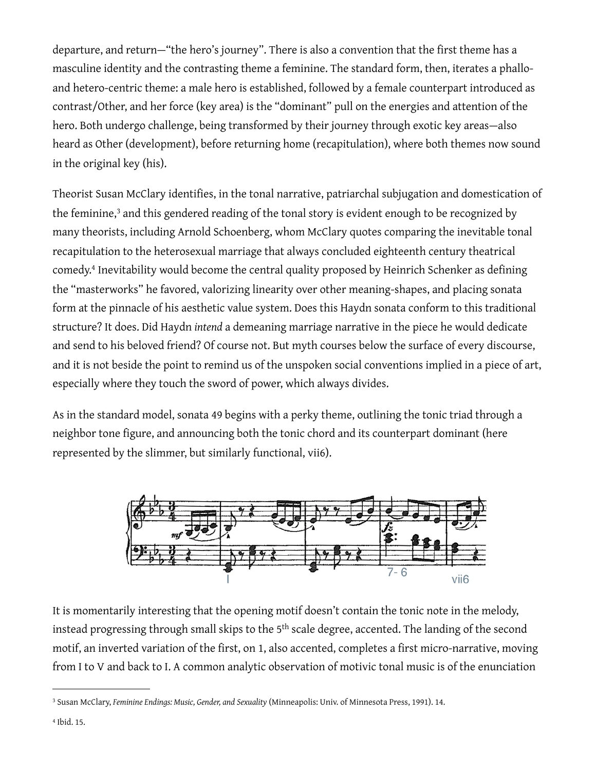departure, and return—"the hero's journey". There is also a convention that the first theme has a masculine identity and the contrasting theme a feminine. The standard form, then, iterates a phalloand hetero-centric theme: a male hero is established, followed by a female counterpart introduced as contrast/Other, and her force (key area) is the "dominant" pull on the energies and attention of the hero. Both undergo challenge, being transformed by their journey through exotic key areas—also heard as Other (development), before returning home (recapitulation), where both themes now sound in the original key (his).

Theorist Susan McClary identifies, in the tonal narrative, patriarchal subjugation and domestication of the feminine,<sup>3</sup> and this gendered reading of the tonal story is evident enough to be recognized by many theorists, including Arnold Schoenberg, whom McClary quotes comparing the inevitable tonal recapitulation to the heterosexual marriage that always concluded eighteenth century theatrical comedy[.4](#page-3-1) Inevitability would become the central quality proposed by Heinrich Schenker as defining the "masterworks" he favored, valorizing linearity over other meaning-shapes, and placing sonata form at the pinnacle of his aesthetic value system. Does this Haydn sonata conform to this traditional structure? It does. Did Haydn *intend* a demeaning marriage narrative in the piece he would dedicate and send to his beloved friend? Of course not. But myth courses below the surface of every discourse, and it is not beside the point to remind us of the unspoken social conventions implied in a piece of art, especially where they touch the sword of power, which always divides.

As in the standard model, sonata 49 begins with a perky theme, outlining the tonic triad through a neighbor tone figure, and announcing both the tonic chord and its counterpart dominant (here represented by the slimmer, but similarly functional, vii6).



It is momentarily interesting that the opening motif doesn't contain the tonic note in the melody, instead progressing through small skips to the 5<sup>th</sup> scale degree, accented. The landing of the second motif, an inverted variation of the first, on 1, also accented, completes a first micro-narrative, moving from I to V and back to I. A common analytic observation of motivic tonal music is of the enunciation

<span id="page-3-1"></span><span id="page-3-0"></span><sup>3</sup> Susan McClary, *Feminine Endings: Music, Gender, and Sexuality* (Minneapolis: Univ. of Minnesota Press, 1991). 14.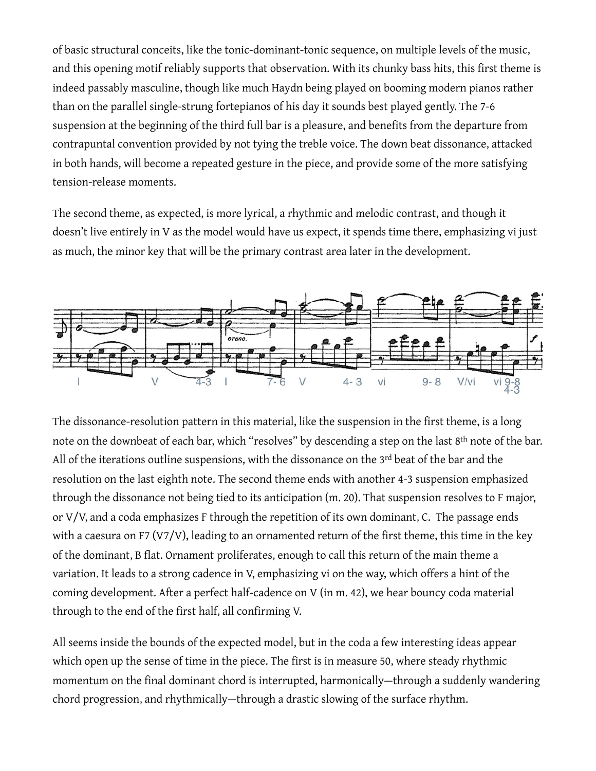of basic structural conceits, like the tonic-dominant-tonic sequence, on multiple levels of the music, and this opening motif reliably supports that observation. With its chunky bass hits, this first theme is indeed passably masculine, though like much Haydn being played on booming modern pianos rather than on the parallel single-strung fortepianos of his day it sounds best played gently. The 7-6 suspension at the beginning of the third full bar is a pleasure, and benefits from the departure from contrapuntal convention provided by not tying the treble voice. The down beat dissonance, attacked in both hands, will become a repeated gesture in the piece, and provide some of the more satisfying tension-release moments.

The second theme, as expected, is more lyrical, a rhythmic and melodic contrast, and though it doesn't live entirely in V as the model would have us expect, it spends time there, emphasizing vi just as much, the minor key that will be the primary contrast area later in the development.



The dissonance-resolution pattern in this material, like the suspension in the first theme, is a long note on the downbeat of each bar, which "resolves" by descending a step on the last 8th note of the bar. All of the iterations outline suspensions, with the dissonance on the 3<sup>rd</sup> beat of the bar and the resolution on the last eighth note. The second theme ends with another 4-3 suspension emphasized through the dissonance not being tied to its anticipation (m. 20). That suspension resolves to F major, or V/V, and a coda emphasizes F through the repetition of its own dominant, C. The passage ends with a caesura on F7 (V7/V), leading to an ornamented return of the first theme, this time in the key of the dominant, B flat. Ornament proliferates, enough to call this return of the main theme a variation. It leads to a strong cadence in V, emphasizing vi on the way, which offers a hint of the coming development. After a perfect half-cadence on V (in m. 42), we hear bouncy coda material through to the end of the first half, all confirming V.

All seems inside the bounds of the expected model, but in the coda a few interesting ideas appear which open up the sense of time in the piece. The first is in measure 50, where steady rhythmic momentum on the final dominant chord is interrupted, harmonically—through a suddenly wandering chord progression, and rhythmically—through a drastic slowing of the surface rhythm.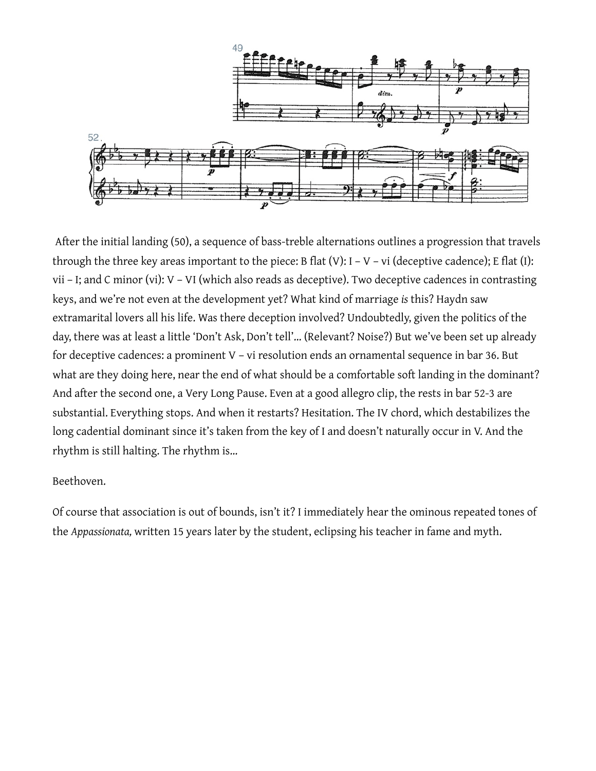

 After the initial landing (50), a sequence of bass-treble alternations outlines a progression that travels through the three key areas important to the piece: B flat  $(V)$ : I – V – vi (deceptive cadence); E flat  $(I)$ : vii – I; and C minor (vi): V – VI (which also reads as deceptive). Two deceptive cadences in contrasting keys, and we're not even at the development yet? What kind of marriage *is* this? Haydn saw extramarital lovers all his life. Was there deception involved? Undoubtedly, given the politics of the day, there was at least a little 'Don't Ask, Don't tell'… (Relevant? Noise?) But we've been set up already for deceptive cadences: a prominent V – vi resolution ends an ornamental sequence in bar 36. But what are they doing here, near the end of what should be a comfortable soft landing in the dominant? And after the second one, a Very Long Pause. Even at a good allegro clip, the rests in bar 52-3 are substantial. Everything stops. And when it restarts? Hesitation. The IV chord, which destabilizes the long cadential dominant since it's taken from the key of I and doesn't naturally occur in V. And the rhythm is still halting. The rhythm is…

# Beethoven.

Of course that association is out of bounds, isn't it? I immediately hear the ominous repeated tones of the *Appassionata,* written 15 years later by the student, eclipsing his teacher in fame and myth.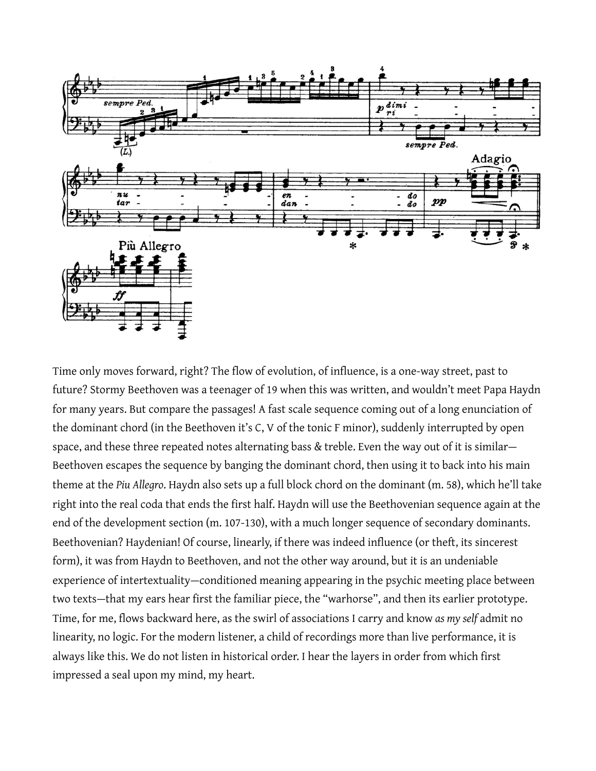

Time only moves forward, right? The flow of evolution, of influence, is a one-way street, past to future? Stormy Beethoven was a teenager of 19 when this was written, and wouldn't meet Papa Haydn for many years. But compare the passages! A fast scale sequence coming out of a long enunciation of the dominant chord (in the Beethoven it's C, V of the tonic F minor), suddenly interrupted by open space, and these three repeated notes alternating bass & treble. Even the way out of it is similar— Beethoven escapes the sequence by banging the dominant chord, then using it to back into his main theme at the *Piu Allegro*. Haydn also sets up a full block chord on the dominant (m. 58), which he'll take right into the real coda that ends the first half. Haydn will use the Beethovenian sequence again at the end of the development section (m. 107-130), with a much longer sequence of secondary dominants. Beethovenian? Haydenian! Of course, linearly, if there was indeed influence (or theft, its sincerest form), it was from Haydn to Beethoven, and not the other way around, but it is an undeniable experience of intertextuality—conditioned meaning appearing in the psychic meeting place between two texts—that my ears hear first the familiar piece, the "warhorse", and then its earlier prototype. Time, for me, flows backward here, as the swirl of associations I carry and know *as my self* admit no linearity, no logic. For the modern listener, a child of recordings more than live performance, it is always like this. We do not listen in historical order. I hear the layers in order from which first impressed a seal upon my mind, my heart.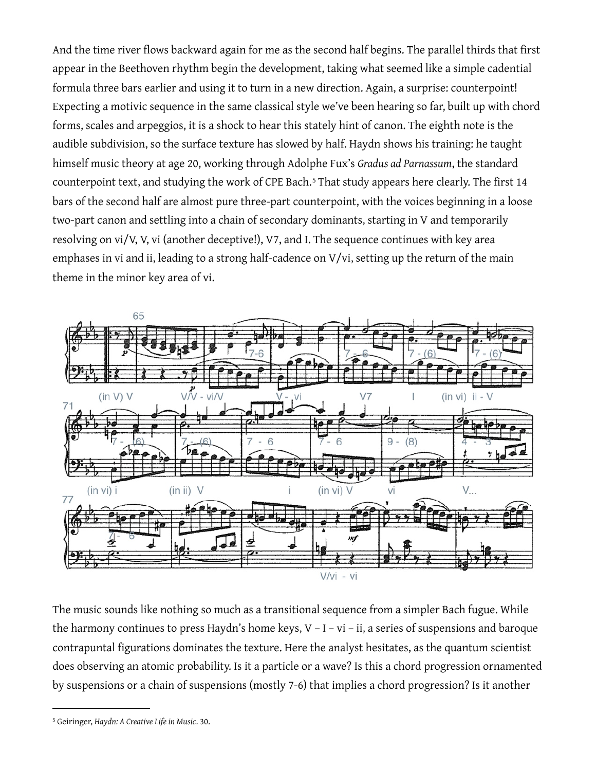And the time river flows backward again for me as the second half begins. The parallel thirds that first appear in the Beethoven rhythm begin the development, taking what seemed like a simple cadential formula three bars earlier and using it to turn in a new direction. Again, a surprise: counterpoint! Expecting a motivic sequence in the same classical style we've been hearing so far, built up with chord forms, scales and arpeggios, it is a shock to hear this stately hint of canon. The eighth note is the audible subdivision, so the surface texture has slowed by half. Haydn shows his training: he taught himself music theory at age 20, working through Adolphe Fux's *Gradus ad Parnassum*, the standard counterpoint text, and studying the work of CPE Bach.<sup>[5](#page-7-0)</sup> That study appears here clearly. The first 14 bars of the second half are almost pure three-part counterpoint, with the voices beginning in a loose two-part canon and settling into a chain of secondary dominants, starting in V and temporarily resolving on vi/V, V, vi (another deceptive!), V7, and I. The sequence continues with key area emphases in vi and ii, leading to a strong half-cadence on V/vi, setting up the return of the main theme in the minor key area of vi.



The music sounds like nothing so much as a transitional sequence from a simpler Bach fugue. While the harmony continues to press Haydn's home keys, V – I – vi – ii, a series of suspensions and baroque contrapuntal figurations dominates the texture. Here the analyst hesitates, as the quantum scientist does observing an atomic probability. Is it a particle or a wave? Is this a chord progression ornamented by suspensions or a chain of suspensions (mostly 7-6) that implies a chord progression? Is it another

<span id="page-7-0"></span><sup>5</sup> Geiringer, *Haydn: A Creative Life in Music*. 30.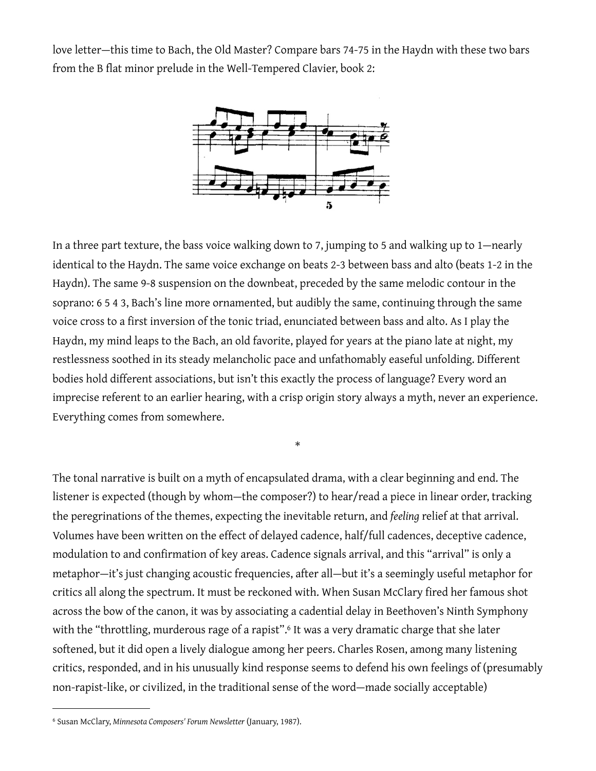love letter—this time to Bach, the Old Master? Compare bars 74-75 in the Haydn with these two bars from the B flat minor prelude in the Well-Tempered Clavier, book 2:



In a three part texture, the bass voice walking down to 7, jumping to 5 and walking up to 1—nearly identical to the Haydn. The same voice exchange on beats 2-3 between bass and alto (beats 1-2 in the Haydn). The same 9-8 suspension on the downbeat, preceded by the same melodic contour in the soprano: 6 5 4 3, Bach's line more ornamented, but audibly the same, continuing through the same voice cross to a first inversion of the tonic triad, enunciated between bass and alto. As I play the Haydn, my mind leaps to the Bach, an old favorite, played for years at the piano late at night, my restlessness soothed in its steady melancholic pace and unfathomably easeful unfolding. Different bodies hold different associations, but isn't this exactly the process of language? Every word an imprecise referent to an earlier hearing, with a crisp origin story always a myth, never an experience. Everything comes from somewhere.

\*

The tonal narrative is built on a myth of encapsulated drama, with a clear beginning and end. The listener is expected (though by whom—the composer?) to hear/read a piece in linear order, tracking the peregrinations of the themes, expecting the inevitable return, and *feeling* relief at that arrival. Volumes have been written on the effect of delayed cadence, half/full cadences, deceptive cadence, modulation to and confirmation of key areas. Cadence signals arrival, and this "arrival" is only a metaphor—it's just changing acoustic frequencies, after all—but it's a seemingly useful metaphor for critics all along the spectrum. It must be reckoned with. When Susan McClary fired her famous shot across the bow of the canon, it was by associating a cadential delay in Beethoven's Ninth Symphony with the "throttling, murderous rage of a rapist".<sup>6</sup> It was a very dramatic charge that she later softened, but it did open a lively dialogue among her peers. Charles Rosen, among many listening critics, responded, and in his unusually kind response seems to defend his own feelings of (presumably non-rapist-like, or civilized, in the traditional sense of the word—made socially acceptable)

<span id="page-8-0"></span><sup>6</sup> Susan McClary, *Minnesota Composers' Forum Newsletter* (January, 1987).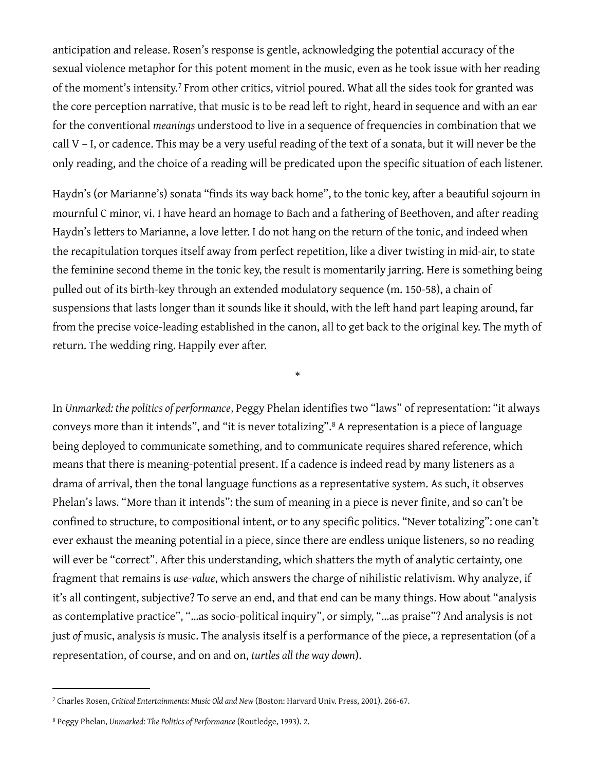anticipation and release. Rosen's response is gentle, acknowledging the potential accuracy of the sexual violence metaphor for this potent moment in the music, even as he took issue with her reading of the moment's intensity.<sup>[7](#page-9-0)</sup> From other critics, vitriol poured. What all the sides took for granted was the core perception narrative, that music is to be read left to right, heard in sequence and with an ear for the conventional *meanings* understood to live in a sequence of frequencies in combination that we call V – I, or cadence. This may be a very useful reading of the text of a sonata, but it will never be the only reading, and the choice of a reading will be predicated upon the specific situation of each listener.

Haydn's (or Marianne's) sonata "finds its way back home", to the tonic key, after a beautiful sojourn in mournful C minor, vi. I have heard an homage to Bach and a fathering of Beethoven, and after reading Haydn's letters to Marianne, a love letter. I do not hang on the return of the tonic, and indeed when the recapitulation torques itself away from perfect repetition, like a diver twisting in mid-air, to state the feminine second theme in the tonic key, the result is momentarily jarring. Here is something being pulled out of its birth-key through an extended modulatory sequence (m. 150-58), a chain of suspensions that lasts longer than it sounds like it should, with the left hand part leaping around, far from the precise voice-leading established in the canon, all to get back to the original key. The myth of return. The wedding ring. Happily ever after.

\*

In *Unmarked: the politics of performance*, Peggy Phelan identifies two "laws" of representation: "it always conveys more than it intends", and "it is never totalizing".[8](#page-9-1) A representation is a piece of language being deployed to communicate something, and to communicate requires shared reference, which means that there is meaning-potential present. If a cadence is indeed read by many listeners as a drama of arrival, then the tonal language functions as a representative system. As such, it observes Phelan's laws. "More than it intends": the sum of meaning in a piece is never finite, and so can't be confined to structure, to compositional intent, or to any specific politics. "Never totalizing": one can't ever exhaust the meaning potential in a piece, since there are endless unique listeners, so no reading will ever be "correct". After this understanding, which shatters the myth of analytic certainty, one fragment that remains is *use-value*, which answers the charge of nihilistic relativism. Why analyze, if it's all contingent, subjective? To serve an end, and that end can be many things. How about "analysis as contemplative practice", "…as socio-political inquiry", or simply, "…as praise"? And analysis is not just *of* music, analysis *is* music. The analysis itself is a performance of the piece, a representation (of a representation, of course, and on and on, *turtles all the way down*).

<span id="page-9-0"></span><sup>7</sup> Charles Rosen, *Critical Entertainments: Music Old and New* (Boston: Harvard Univ. Press, 2001). 266-67.

<span id="page-9-1"></span><sup>8</sup> Peggy Phelan, *Unmarked: The Politics of Performance* (Routledge, 1993). 2.